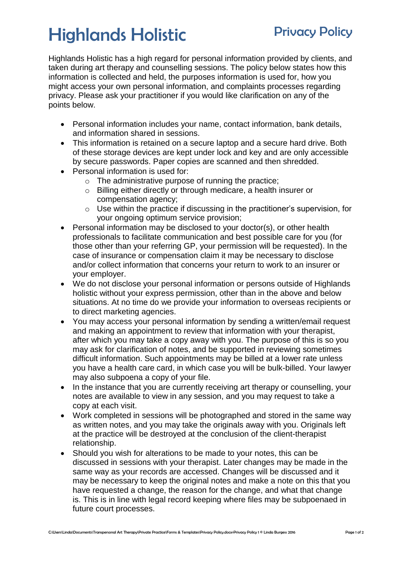## Highlands Holistic Privacy Policy

Highlands Holistic has a high regard for personal information provided by clients, and taken during art therapy and counselling sessions. The policy below states how this information is collected and held, the purposes information is used for, how you might access your own personal information, and complaints processes regarding privacy. Please ask your practitioner if you would like clarification on any of the points below.

- Personal information includes your name, contact information, bank details, and information shared in sessions.
- This information is retained on a secure laptop and a secure hard drive. Both of these storage devices are kept under lock and key and are only accessible by secure passwords. Paper copies are scanned and then shredded.
- Personal information is used for:
	- o The administrative purpose of running the practice;
	- o Billing either directly or through medicare, a health insurer or compensation agency;
	- o Use within the practice if discussing in the practitioner's supervision, for your ongoing optimum service provision;
- Personal information may be disclosed to your doctor(s), or other health professionals to facilitate communication and best possible care for you (for those other than your referring GP, your permission will be requested). In the case of insurance or compensation claim it may be necessary to disclose and/or collect information that concerns your return to work to an insurer or your employer.
- We do not disclose your personal information or persons outside of Highlands holistic without your express permission, other than in the above and below situations. At no time do we provide your information to overseas recipients or to direct marketing agencies.
- You may access your personal information by sending a written/email request and making an appointment to review that information with your therapist, after which you may take a copy away with you. The purpose of this is so you may ask for clarification of notes, and be supported in reviewing sometimes difficult information. Such appointments may be billed at a lower rate unless you have a health care card, in which case you will be bulk-billed. Your lawyer may also subpoena a copy of your file.
- In the instance that you are currently receiving art therapy or counselling, your notes are available to view in any session, and you may request to take a copy at each visit.
- Work completed in sessions will be photographed and stored in the same way as written notes, and you may take the originals away with you. Originals left at the practice will be destroyed at the conclusion of the client-therapist relationship.
- Should you wish for alterations to be made to your notes, this can be discussed in sessions with your therapist. Later changes may be made in the same way as your records are accessed. Changes will be discussed and it may be necessary to keep the original notes and make a note on this that you have requested a change, the reason for the change, and what that change is. This is in line with legal record keeping where files may be subpoenaed in future court processes.